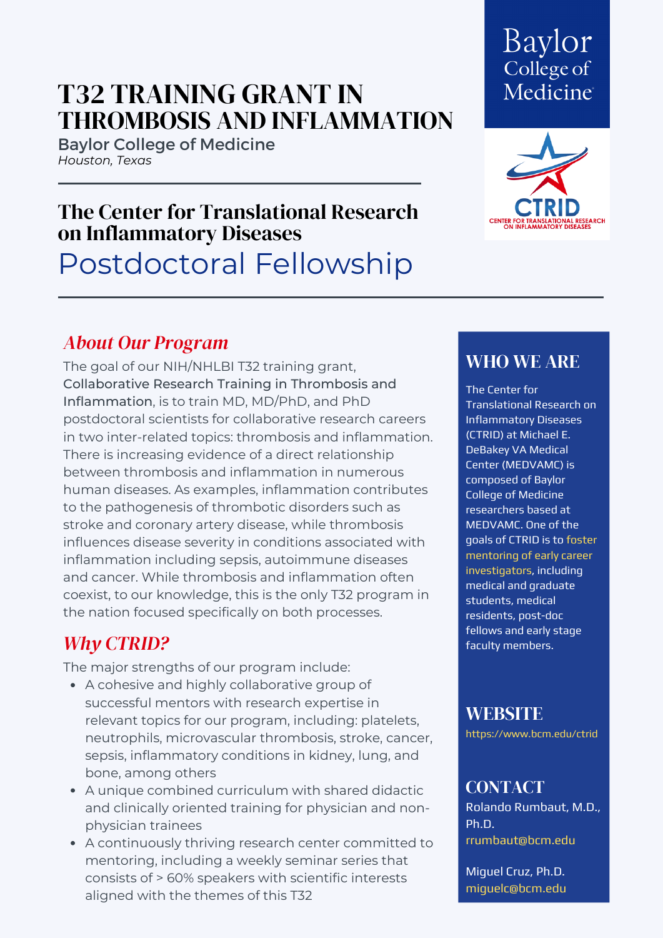# T32 TRAINING GRANT IN THROMBOSIS AND INFLAMMATION

Baylor College of Medicine *Houston, Texas*

# Baylor College of Medicine®



## Postdoctoral Fellowship The Center for Translational Research on Inflammatory Diseases

### *About Our Program*

The goal of our NIH/NHLBI T32 training grant, Collaborative Research Training in Thrombosis and Inflammation, is to train MD, MD/PhD, and PhD postdoctoral scientists for collaborative research careers in two inter-related topics: thrombosis and inflammation. There is increasing evidence of a direct relationship between thrombosis and inflammation in numerous human diseases. As examples, inflammation contributes to the pathogenesis of thrombotic disorders such as stroke and coronary artery disease, while thrombosis influences disease severity in conditions associated with inflammation including sepsis, autoimmune diseases and cancer. While thrombosis and inflammation often coexist, to our knowledge, this is the only T32 program in the nation focused specifically on both processes.

## *Why CTRID?*

The major strengths of our program include:

- A cohesive and highly collaborative group of successful mentors with research expertise in relevant topics for our program, including: platelets, neutrophils, microvascular thrombosis, stroke, cancer, sepsis, inflammatory conditions in kidney, lung, and bone, among others
- A unique combined curriculum with shared didactic and clinically oriented training for physician and nonphysician trainees
- A continuously thriving research center committed to mentoring, including a weekly seminar series that consists of > 60% speakers with scientific interests aligned with the themes of this T32

#### WHO WE ARE

The Center for Translational Research on Inflammatory Diseases (CTRID) at Michael E. DeBakey VA Medical Center (MEDVAMC) is composed of Baylor College of Medicine researchers based at MEDVAMC. One of the goals of CTRID is to foster mentoring of early career investigators, including medical and graduate students, medical residents, post-doc fellows and early stage faculty members.

#### **WEBSITE**

<https://www.bcm.edu/ctrid>

#### **CONTACT**

Rolando Rumbaut, M.D., Ph.D. [rrumbaut@bcm.edu](mailto:rrumbaut@bcm.edu)

Miguel Cruz, Ph.D. [miguelc@bcm.edu](mailto:miguelc@bcm.edu)